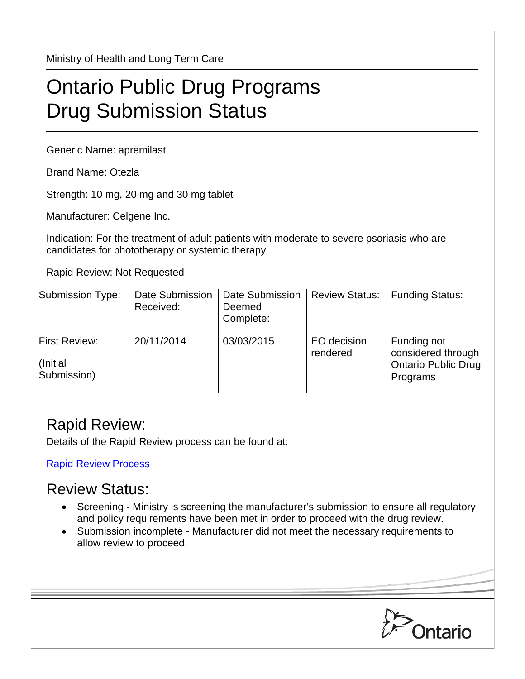Ministry of Health and Long Term Care

## Ontario Public Drug Programs Drug Submission Status

Generic Name: apremilast

Brand Name: Otezla

Strength: 10 mg, 20 mg and 30 mg tablet

Manufacturer: Celgene Inc.

Indication: For the treatment of adult patients with moderate to severe psoriasis who are candidates for phototherapy or systemic therapy

Rapid Review: Not Requested

| <b>Submission Type:</b>                          | Date Submission<br>Received: | Date Submission<br>Deemed<br>Complete: | <b>Review Status:</b>   | <b>Funding Status:</b>                                                      |
|--------------------------------------------------|------------------------------|----------------------------------------|-------------------------|-----------------------------------------------------------------------------|
| <b>First Review:</b><br>(Initial)<br>Submission) | 20/11/2014                   | 03/03/2015                             | EO decision<br>rendered | Funding not<br>considered through<br><b>Ontario Public Drug</b><br>Programs |

## Rapid Review:

Details of the Rapid Review process can be found at:

[Rapid Review Process](http://www.health.gov.on.ca/en/pro/programs/drugs/drug_submissions/rapid_review_process.aspx)

## Review Status:

- Screening Ministry is screening the manufacturer's submission to ensure all regulatory and policy requirements have been met in order to proceed with the drug review.
- Submission incomplete Manufacturer did not meet the necessary requirements to allow review to proceed.